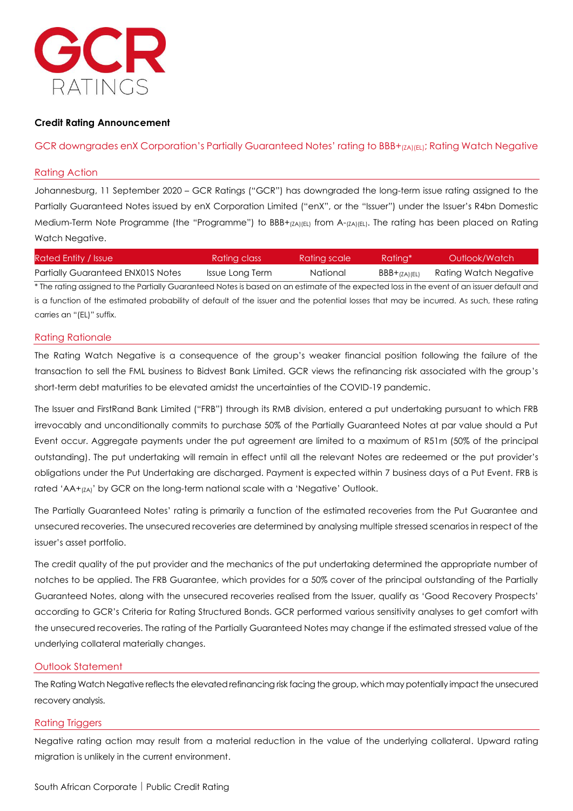

## **Credit Rating Announcement**

## GCR downgrades enX Corporation's Partially Guaranteed Notes' rating to BBB+<sub>(ZA)(EL)</sub>; Rating Watch Negative

## Rating Action

Johannesburg, 11 September 2020 – GCR Ratings ("GCR") has downgraded the long-term issue rating assigned to the Partially Guaranteed Notes issued by enX Corporation Limited ("enX", or the "Issuer") under the Issuer's R4bn Domestic Medium-Term Note Programme (the "Programme") to BBB+<sub>(ZA)(EL)</sub> from A-<sub>(ZA)(EL)</sub>. The rating has been placed on Rating Watch Negative.

| Rated Entity / Issue                                                                                                                       | Rating class    | Rating scale | Ratina*       | Outlook/Watch         |
|--------------------------------------------------------------------------------------------------------------------------------------------|-----------------|--------------|---------------|-----------------------|
| <b>Partially Guaranteed ENX01S Notes</b>                                                                                                   | Issue Long Term | National     | $BBB+(7A)(F)$ | Rating Watch Negative |
| * The rating assigned to the Partially Guaranteed Notes is based on an estimate of the expected loss in the event of an issuer default and |                 |              |               |                       |
| is a function of the estimated probability of default of the issuer and the potential losses that may be incurred. As such, these rating   |                 |              |               |                       |

carries an "(EL)" suffix.

### Rating Rationale

The Rating Watch Negative is a consequence of the group's weaker financial position following the failure of the transaction to sell the FML business to Bidvest Bank Limited. GCR views the refinancing risk associated with the group's short-term debt maturities to be elevated amidst the uncertainties of the COVID-19 pandemic.

The Issuer and FirstRand Bank Limited ("FRB") through its RMB division, entered a put undertaking pursuant to which FRB irrevocably and unconditionally commits to purchase 50% of the Partially Guaranteed Notes at par value should a Put Event occur. Aggregate payments under the put agreement are limited to a maximum of R51m (50% of the principal outstanding). The put undertaking will remain in effect until all the relevant Notes are redeemed or the put provider's obligations under the Put Undertaking are discharged. Payment is expected within 7 business days of a Put Event. FRB is rated 'AA+<sub>(ZA)</sub>' by GCR on the long-term national scale with a 'Negative' Outlook.

The Partially Guaranteed Notes' rating is primarily a function of the estimated recoveries from the Put Guarantee and unsecured recoveries. The unsecured recoveries are determined by analysing multiple stressed scenarios in respect of the issuer's asset portfolio.

The credit quality of the put provider and the mechanics of the put undertaking determined the appropriate number of notches to be applied. The FRB Guarantee, which provides for a 50% cover of the principal outstanding of the Partially Guaranteed Notes, along with the unsecured recoveries realised from the Issuer, qualify as 'Good Recovery Prospects' according to GCR's Criteria for Rating Structured Bonds. GCR performed various sensitivity analyses to get comfort with the unsecured recoveries. The rating of the Partially Guaranteed Notes may change if the estimated stressed value of the underlying collateral materially changes.

## Outlook Statement

The Rating Watch Negative reflects the elevated refinancing risk facing the group, which may potentially impact the unsecured recovery analysis.

## Rating Triggers

Negative rating action may result from a material reduction in the value of the underlying collateral. Upward rating migration is unlikely in the current environment.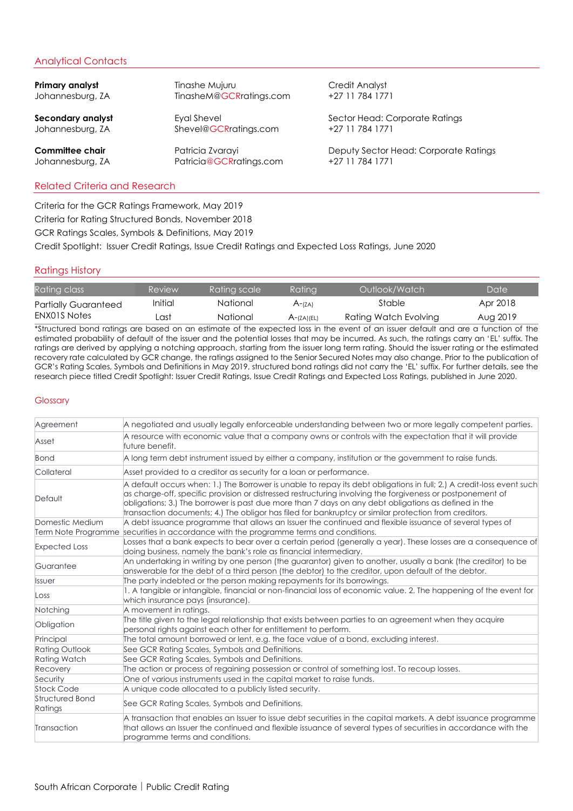# Analytical Contacts

| Primary analyst   | Tinashe Mujuru          | Credit Analyst                        |
|-------------------|-------------------------|---------------------------------------|
| Johannesburg, ZA  | TinasheM@GCRratings.com | +27 11 784 1771                       |
| Secondary analyst | Eyal Shevel             | Sector Head: Corporate Ratings        |
| Johannesburg, ZA  | Shevel@GCRratings.com   | +27 11 784 1771                       |
| Committee chair   | Patricia Zvarayi        | Deputy Sector Head: Corporate Ratings |
| Johannesburg, ZA  | Patricia@GCRratings.com | +27 11 784 1771                       |

## Related Criteria and Research

Criteria for the GCR Ratings Framework, May 2019 Criteria for Rating Structured Bonds, November 2018 GCR Ratings Scales, Symbols & Definitions, May 2019 Credit Spotlight: Issuer Credit Ratings, Issue Credit Ratings and Expected Loss Ratings, June 2020

## Ratings History

| Rating class                | Review  | Ratina scale | <b>Ratina</b> | Outlook/Watch         | Date     |
|-----------------------------|---------|--------------|---------------|-----------------------|----------|
| <b>Partially Guaranteed</b> | Initial | National     | A-(ZA)        | Stable                | Apr 2018 |
| ENX01S Notes                | _ast    | National     | $A$ -(ZA)(EL) | Rating Watch Evolving | Aug 2019 |

\*Structured bond ratings are based on an estimate of the expected loss in the event of an issuer default and are a function of the estimated probability of default of the issuer and the potential losses that may be incurred. As such, the ratings carry an 'EL' suffix. The ratings are derived by applying a notching approach, starting from the issuer long term rating. Should the issuer rating or the estimated recovery rate calculated by GCR change, the ratings assigned to the Senior Secured Notes may also change. Prior to the publication of GCR's Rating Scales, Symbols and Definitions in May 2019, structured bond ratings did not carry the 'EL' suffix. For further details, see the research piece titled Credit Spotlight: Issuer Credit Ratings, Issue Credit Ratings and Expected Loss Ratings, published in June 2020.

#### **Glossary**

| Agreement                         | A negotiated and usually legally enforceable understanding between two or more legally competent parties.                                                                                                                                                                                                                                                                                                                                            |
|-----------------------------------|------------------------------------------------------------------------------------------------------------------------------------------------------------------------------------------------------------------------------------------------------------------------------------------------------------------------------------------------------------------------------------------------------------------------------------------------------|
| Asset                             | A resource with economic value that a company owns or controls with the expectation that it will provide<br>future benefit.                                                                                                                                                                                                                                                                                                                          |
| Bond                              | A long term debt instrument issued by either a company, institution or the government to raise funds.                                                                                                                                                                                                                                                                                                                                                |
| Collateral                        | Asset provided to a creditor as security for a loan or performance.                                                                                                                                                                                                                                                                                                                                                                                  |
| Default                           | A default occurs when: 1.) The Borrower is unable to repay its debt obligations in full; 2.) A credit-loss event such<br>as charge-off, specific provision or distressed restructuring involving the forgiveness or postponement of<br>obligations; 3.) The borrower is past due more than 7 days on any debt obligations as defined in the<br>transaction documents; 4.) The obligor has filed for bankruptcy or similar protection from creditors. |
| Domestic Medium                   | A debt issuance programme that allows an Issuer the continued and flexible issuance of several types of                                                                                                                                                                                                                                                                                                                                              |
|                                   | Term Note Programme securities in accordance with the programme terms and conditions.                                                                                                                                                                                                                                                                                                                                                                |
| <b>Expected Loss</b>              | Losses that a bank expects to bear over a certain period (generally a year). These losses are a consequence of<br>doing business, namely the bank's role as financial intermediary.                                                                                                                                                                                                                                                                  |
| Guarantee                         | An undertaking in writing by one person (the guarantor) given to another, usually a bank (the creditor) to be<br>answerable for the debt of a third person (the debtor) to the creditor, upon default of the debtor.                                                                                                                                                                                                                                 |
| <b>Issuer</b>                     | The party indebted or the person making repayments for its borrowings.                                                                                                                                                                                                                                                                                                                                                                               |
| Loss                              | 1. A tangible or intangible, financial or non-financial loss of economic value. 2. The happening of the event for<br>which insurance pays (insurance).                                                                                                                                                                                                                                                                                               |
| Notching                          | A movement in ratings.                                                                                                                                                                                                                                                                                                                                                                                                                               |
| Obligation                        | The title given to the legal relationship that exists between parties to an agreement when they acquire<br>personal rights against each other for entitlement to perform.                                                                                                                                                                                                                                                                            |
| Principal                         | The total amount borrowed or lent, e.g. the face value of a bond, excluding interest.                                                                                                                                                                                                                                                                                                                                                                |
| <b>Rating Outlook</b>             | See GCR Rating Scales, Symbols and Definitions.                                                                                                                                                                                                                                                                                                                                                                                                      |
| Rating Watch                      | See GCR Rating Scales, Symbols and Definitions.                                                                                                                                                                                                                                                                                                                                                                                                      |
| Recovery                          | The action or process of regaining possession or control of something lost. To recoup losses.                                                                                                                                                                                                                                                                                                                                                        |
| Security                          | One of various instruments used in the capital market to raise funds.                                                                                                                                                                                                                                                                                                                                                                                |
| <b>Stock Code</b>                 | A unique code allocated to a publicly listed security.                                                                                                                                                                                                                                                                                                                                                                                               |
| <b>Structured Bond</b><br>Ratings | See GCR Rating Scales, Symbols and Definitions.                                                                                                                                                                                                                                                                                                                                                                                                      |
| Transaction                       | A transaction that enables an Issuer to issue debt securities in the capital markets. A debt issuance programme<br>that allows an Issuer the continued and flexible issuance of several types of securities in accordance with the<br>programme terms and conditions.                                                                                                                                                                                |